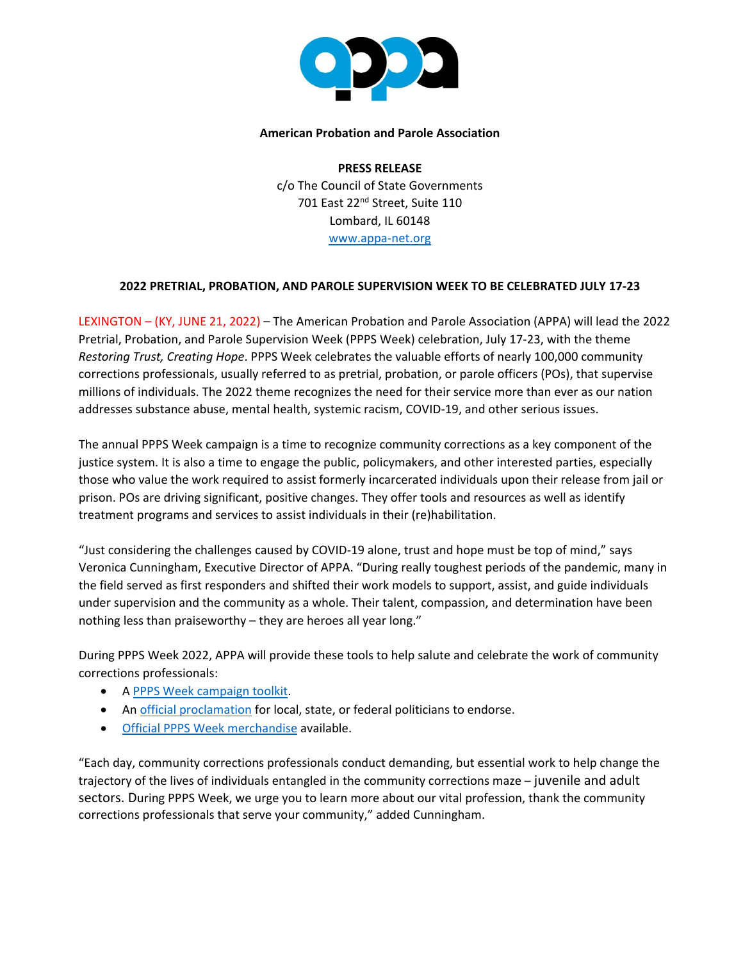

## **American Probation and Parole Association**

**PRESS RELEASE** c/o The Council of State Governments 701 East 22<sup>nd</sup> Street, Suite 110 Lombard, IL 60148 www.appa-net.org

## **2022 PRETRIAL, PROBATION, AND PAROLE SUPERVISION WEEK TO BE CELEBRATED JULY 17-23**

LEXINGTON – (KY, JUNE 21, 2022) – The American Probation and Parole Association (APPA) will lead the 2022 Pretrial, Probation, and Parole Supervision Week (PPPS Week) celebration, July 17-23, with the theme *Restoring Trust, Creating Hope*. PPPS Week celebrates the valuable efforts of nearly 100,000 community corrections professionals, usually referred to as pretrial, probation, or parole officers (POs), that supervise millions of individuals. The 2022 theme recognizes the need for their service more than ever as our nation addresses substance abuse, mental health, systemic racism, COVID-19, and other serious issues.

The annual PPPS Week campaign is a time to recognize community corrections as a key component of the justice system. It is also a time to engage the public, policymakers, and other interested parties, especially those who value the work required to assist formerly incarcerated individuals upon their release from jail or prison. POs are driving significant, positive changes. They offer tools and resources as well as identify treatment programs and services to assist individuals in their (re)habilitation.

"Just considering the challenges caused by COVID-19 alone, trust and hope must be top of mind," says Veronica Cunningham, Executive Director of APPA. "During really toughest periods of the pandemic, many in the field served as first responders and shifted their work models to support, assist, and guide individuals under supervision and the community as a whole. Their talent, compassion, and determination have been nothing less than praiseworthy – they are heroes all year long."

During PPPS Week 2022, APPA will provide these tools to help salute and celebrate the work of community corrections professionals:

- [A PPPS Week campaign toolkit.](https://www.appa-net.org/PPP-Supervision-Week/promo-toolkit.htm)
- An [official proclamation](https://www.appa-net.org/PPP-Supervision-Week/files/sample-proclamation.docx) for local, state, or federal politicians to endorse.
- [Official PPPS Week merchandise](https://appa-shop.myspreadshop.com/ppps22?idea=62433c535dbb314cd80e4618) available.

"Each day, community corrections professionals conduct demanding, but essential work to help change the trajectory of the lives of individuals entangled in the community corrections maze – juvenile and adult sectors. During PPPS Week, we urge you to learn more about our vital profession, thank the community corrections professionals that serve your community," added Cunningham.